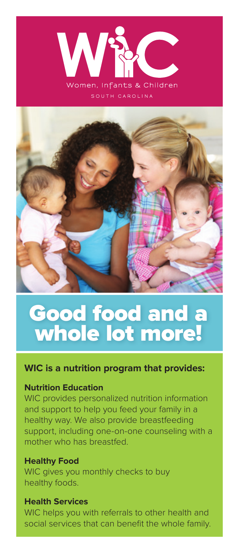



# Good food and a whole lot more!

# **WIC is a nutrition program that provides:**

#### **Nutrition Education**

WIC provides personalized nutrition information and support to help you feed your family in a healthy way. We also provide breastfeeding support, including one-on-one counseling with a mother who has breastfed.

#### **Healthy Food**

WIC gives you monthly checks to buy healthy foods.

#### **Health Services**

WIC helps you with referrals to other health and social services that can benefit the whole family.